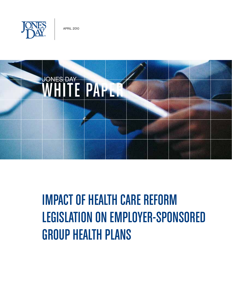



# **IMPACT OF HEALTH CARE REFORM** Legislation on Employer-Sponsored Group Health Plans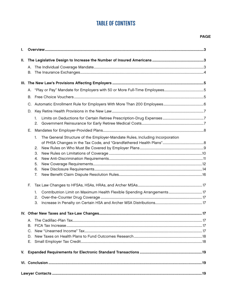## **TABLE OF CONTENTS**

#### **PAGE**

| ı. |    |                                                                                                                              |  |  |
|----|----|------------------------------------------------------------------------------------------------------------------------------|--|--|
| Ш. | В. |                                                                                                                              |  |  |
|    |    |                                                                                                                              |  |  |
|    |    |                                                                                                                              |  |  |
|    | В. |                                                                                                                              |  |  |
|    | C. |                                                                                                                              |  |  |
|    | D. |                                                                                                                              |  |  |
|    |    | $1_{\cdot}$<br>2.                                                                                                            |  |  |
|    | Е. |                                                                                                                              |  |  |
|    | F. | The General Structure of the Employer-Mandate Rules, Including Incorporation<br>1.<br>2.<br>3.<br>4.<br>5.<br>6.<br>7.<br>1. |  |  |
|    |    | 2.<br>3.                                                                                                                     |  |  |
|    |    |                                                                                                                              |  |  |
|    | В. |                                                                                                                              |  |  |
|    | C. |                                                                                                                              |  |  |
|    | D. |                                                                                                                              |  |  |
|    |    |                                                                                                                              |  |  |
|    |    |                                                                                                                              |  |  |
|    |    |                                                                                                                              |  |  |
|    |    |                                                                                                                              |  |  |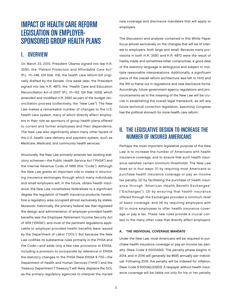## IMPACT OF HEALTH CARE REFORM<br>LEGISLATION ON EMPLOYER-SPONSORED GROUP HEALTH PLANS

## I. Overview

On March 23, 2010, President Obama signed into law H.R. 3590, the "Patient Protection and Affordable Care Act" (P.L. 111–148, 124 Stat. 119), the health care reform bill originally drafted by the Senate. One week later, the President signed into law H.R. 4872, the "Health Care and Education Reconciliation Act of 2010" (P.L. 111–152, 124 Stat. 1029), which amended and modified H.R. 3590 as part of the budget reconciliation process (collectively, the "New Law"). The New Law makes a remarkable number of changes to the U.S. health care system, many of which directly affect employers in their role as sponsors of group health plans offered to current and former employees and their dependents. The New Law also significantly alters many other facets of the U.S. health care delivery and payment system, such as Medicare, Medicaid, and community health services.

Structurally, the New Law primarily amends two existing statutory schemes—the Public Health Service Act ("PHSA") and the Internal Revenue Code of 1986 (the "Code"). Although the New Law grants an important role to states in structuring insurance exchanges through which many individuals and small employers will, in the future, obtain health insurance, the New Law nonetheless federalizes to a significant degree the regulation of health insurance products, heretofore a regulatory area occupied almost exclusively by states. Moreover, historically, the primary federal law that regulated the design and administration of employer-provided health benefits was the Employee Retirement Income Security Act of 1974 ("ERISA"), and most of the pertinent regulations applicable to employer-provided health benefits were issued by the Department of Labor ("DOL"). But because the New Law codifies its substantive rules primarily in the PHSA and the Code—and adds only a few new provisions to ERISA, including a provision to incorporate by reference in ERISA the statutory changes to the PHSA (New ERISA § 715)—the Department of Health and Human Services ("HHS") and the Treasury Department ("Treasury") will likely displace the DOL as the primary regulatory agencies to interpret the myriad

new coverage and disclosure mandates that will apply to employers.

The discussion and analysis contained in this White Paper focus almost exclusively on the changes that will be of interest to employers, both large and small. Because many provisions in both H.R. 3590 and H.R. 4872 were the result of hastily made and sometimes bitter compromise, a good deal of the statutory language is ambiguous and subject to multiple reasonable interpretations. Additionally, a significant piece of the overall reform architecture was left to HHS and the IRS to frame out in regulations and new disclosure forms. Accordingly, future government agency regulations and pronouncements as to the meaning of the New Law will be crucial in establishing the overall legal framework, as will any future technical correction legislation, assuming Congress has the political stomach for more health care reform.

## II. The Legislative Design to Increase the Number of Insured Americans

Perhaps the most important legislative purpose of the New Law is to increase the number of Americans with health insurance coverage, and to ensure that such health insurance satisfies certain minimum thresholds. The New Law does so in four ways: (1) by requiring most Americans to purchase health insurance coverage or pay an income tax penalty, (2) by facilitating the purchase of health insurance through "American Health Benefit Exchanges" ("Exchanges"), (3) by ensuring that health insurance offered through the Exchanges provides a minimum level of basic coverage, and (4) by requiring employers with 50 or more employees to offer health insurance coverage or pay a tax. These new rules provide a crucial context to the many other rules that directly affect employers.

#### A. The Individual Coverage Mandate

Under the New Law, most Americans will be required to purchase health insurance coverage or pay an income tax penalty. (New Code § 5000A(b)). The penalty phase begins in 2014, and in 2016 will generally be \$695 annually per individual. Following 2016, the penalty will be indexed for inflation. (New Code § 5000A(c)(3)(D)). A taxpayer without health insurance coverage will be liable not only for his or her penalty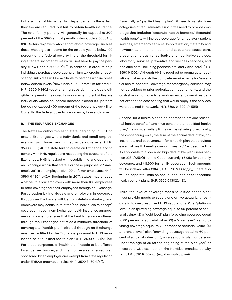but also that of his or her tax dependents, to the extent they too are required, but fail, to obtain health insurance. The total family penalty will generally be capped at 300 percent of the \$695 annual penalty. (New Code § 5000A(c) (2)). Certain taxpayers who cannot afford coverage, such as those whose gross income for the taxable year is below 100 percent of the federal poverty line or the threshold for filing a federal income tax return, will not have to pay the penalty. (New Code § 5000A(e)(2)). In addition, in order to help individuals purchase coverage, premium tax credits or costsharing subsidies will be available to persons with incomes below certain levels (New Code § 36B (premium tax credit); H.R. 3590 § 1402 (cost-sharing subsidy)). Individuals eligible for premium tax credits or cost-sharing subsidies are individuals whose household incomes exceed 100 percent but do not exceed 400 percent of the federal poverty line. Currently, the federal poverty line varies by household size.

#### B. The Insurance Exchanges

The New Law authorizes each state, beginning in 2014, to create Exchanges where individuals and small employers can purchase health insurance coverage. (H.R. 3590 § 1311(b)). If a state fails to create an Exchange and to comply with HHS regulations respecting the structure of the Exchanges, HHS is tasked with establishing and operating an Exchange within that state. For these purposes, a "small employer" is an employer with 100 or fewer employees. (H.R. 3590 § 1304(b)(2)). Beginning in 2017, states may choose whether to allow employers with more than 100 employees to offer coverage for their employees through an Exchange. Participation by individuals and employers in coverage through an Exchange will be completely voluntary, and employers may continue to offer (and individuals to accept) coverage through non-Exchange health insurance arrangements. In order to ensure that the health insurance offered through the Exchanges satisfies a minimum threshold of coverage, a "health plan" offered through an Exchange must be certified by the Exchange, pursuant to HHS regulations, as a "qualified health plan." (H.R. 3590 § 1311(c)–(e)). For these purposes, a "health plan" needs to be offered by a licensed insurer, and it cannot be a self-insured plan sponsored by an employer and exempt from state regulation under ERISA's preemption rules. (H.R. 3590 § 1301(b)(1)).

Essentially, a "qualified health plan" will need to satisfy three categories of requirements. First, it will need to provide coverage that includes "essential health benefits." Essential health benefits will include coverage for ambulatory patient services, emergency services, hospitalization, maternity and newborn care, mental health and substance abuse care, prescription drugs, rehabilitative and habilitative services, laboratory services, preventive and wellness services, and pediatric care (including pediatric oral and vision care). (H.R. 3590 § 1302). Although HHS is required to promulgate regulations that establish the complete requirements for "essential health benefits," coverage for emergency services may not be subject to prior authorization requirements, and the cost-sharing for out-of-network emergency services cannot exceed the cost-sharing that would apply if the services were obtained in-network. (H.R. 3590 § 1302(b)(4)(E)).

Second, for a health plan to be deemed to provide "essential health benefits," and thus constitute a "qualified health plan," it also must satisfy limits on cost-sharing. Specifically, the cost-sharing  $-i.e.,$  the sum of the annual deductible, coinsurance, and copayments—for a health plan that provides essential health benefits cannot in year 2014 exceed the limits applicable to a so-called high deductible plan under section 223(c)(2)(A)(ii) of the Code (currently, \$5,950 for self-only coverage, and \$11,900 for family coverage). Such amounts will be indexed after 2014. (H.R. 3590 § 1302(c)(1)). There also will be separate limits on annual deductibles for essential health benefit plans. (H.R. 3590 § 1302(c)(2)).

Third, the level of coverage that a "qualified health plan" must provide needs to satisfy one of five actuarial thresholds in to-be-prescribed HHS regulations: (1) a "platinum level" plan (providing coverage equal to 90 percent of actuarial value), (2) a "gold level" plan (providing coverage equal to 80 percent of actuarial value), (3) a "silver level" plan (providing coverage equal to 70 percent of actuarial value, (4) a "bronze level" plan (providing coverage equal to 60 percent of actuarial value, or (5) a catastrophic plan for persons under the age of 30 (at the beginning of the plan year) or those otherwise exempt from the individual mandate penalty tax. (H.R. 3590 § 1302(d), (e)(catastrophic plan)).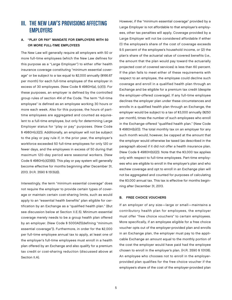## **III. THE NEW LAW'S PROVISIONS AFFECTING EMPLOYERS**

#### A. "Play or Pay" Mandate for Employers with 50 or More Full-Time Employees

The New Law will generally require all employers with 50 or more full-time employees (which the New Law defines for this purpose as a "Large Employer") to either offer health insurance coverage constituting "minimum essential coverage" or be subject to a tax equal to \$2,000 annually (\$166.67 per month) for each full-time employee of the employer in excess of 30 employees. (New Code § 4980H(a), (c)(1)). For these purposes, an employer is defined by the controlled group rules of section 414 of the Code. The term "full-time employee" is defined as an employee working 30 hours or more each week. Also for this purpose, the hours of parttime employees are aggregated and counted as equivalent to a full-time employee, but only for determining Large Employer status for "play or pay" purposes. (New Code § 4980H(c)(2)). Additionally, an employer will not be subject to the play or pay rule if, in the prior year, the employer's workforce exceeded 50 full-time employees for only 120 or fewer days, and the employees in excess of 50 during that maximum 120-day period were seasonal workers. (New Code § 4980H(c)(2)(B)). This play or pay system will generally become effective for months beginning after December 31, 2013. (H.R. 3590 § 1513(d)).

Interestingly, the term "minimum essential coverage" does not require the employer to provide certain types of coverage or maintain certain cost-sharing limits, such as would apply to an "essential health benefits" plan eligible for certification by an Exchange as a "qualified health plan." (But see discussion below at Section II.E.5). Minimum essential coverage merely needs to be a group health plan offered by an employer. (New Code § 5000A(f)(defining "minimum essential coverage")). Furthermore, in order for the \$2,000 per full-time employee annual tax to apply, at least one of the employer's full-time employees must enroll in a health plan offered by an Exchange and also qualify for a premium tax credit or cost-sharing reduction (discussed above at Section II.A).

However, if the "minimum essential coverage" provided by a Large Employer is not affordable to that employer's employees, other tax penalties will apply. Coverage provided by a Large Employer will not be considered affordable if either (1) the employee's share of the cost of coverage exceeds 9.5 percent of the employee's household income, or (2) the plan's share of the actuarial value of covered benefits (i.e., the amount that the plan would pay toward the actuarially projected cost of covered services) is less than 60 percent. If the plan fails to meet either of these requirements with respect to an employee, the employee could decline such coverage and enroll in a qualified health plan through an Exchange and be eligible for a premium tax credit (despite the employer-offered coverage). If any full-time employee declines the employer plan under these circumstances and enrolls in a qualified health plan through an Exchange, the employer would be subject to a tax of \$3,000 annually (\$250 per month), times the number of such employees who enroll in the Exchange-offered "qualified health plan." (New Code § 4980H(b)(1)). The total monthly tax on an employer for any such month would, however, be capped at the amount that the employer would otherwise be taxed (as described in the paragraph above) if it did not offer a health insurance plan. (New Code § 4980H(b)(2)). Note that the \$3,000 tax applies only with respect to full-time employees. Part-time employees who are eligible to enroll in the employer's plan and who eschew coverage and opt to enroll in an Exchange plan will not be aggregated and counted for purposes of calculating the \$3,000 annual tax. This tax is effective for months beginning after December 31, 2013.

#### B. Free Choice Vouchers

If an employer of any size—large or small—maintains a contributory health plan for employees, the employer must offer "free choice vouchers" to certain employees. More specifically, if an employee eligible for a free choice voucher opts out of the employer-provided plan and enrolls in an Exchange plan, the employer must pay to the applicable Exchange an amount equal to the monthly portion of the cost the employer would have paid had the employee chosen to enroll in the employer's plan. (H.R. 3590 § 10108). An employee who chooses not to enroll in the employerprovided plan qualifies for the free choice voucher if the employee's share of the cost of the employer-provided plan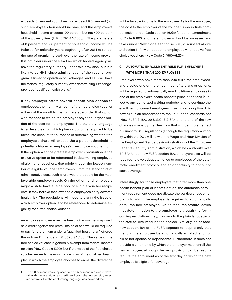exceeds 8 percent (but does not exceed 9.8 percent<sup>1</sup>) of such employee's household income, and the employee's household income exceeds 100 percent but not 400 percent of the poverty line. (H.R. 3590 § 10108(c)). The parameters of 8 percent and 9.8 percent of household income will be indexed for calendar years beginning after 2014 to reflect the rate of premium growth over the rate of income growth. It is not clear under the New Law which federal agency will have the regulatory authority under this provision, but it is likely to be HHS, since administration of the voucher program is linked to operation of Exchanges, and HHS will have the federal regulatory authority over determining Exchangeprovided "qualified health plans."

If any employer offers several benefit plan options to employees, the monthly amount of the free choice voucher will equal the monthly cost of coverage under that option with respect to which the employer pays the largest portion of the cost for its employees. The statutory language is far less clear on which plan or option is required to be taken into account for purposes of determining whether the employee's share will exceed the 8 percent threshold to potentially trigger an employee's free choice voucher right. If the option with the greatest employer contribution is the exclusive option to be referenced in determining employee eligibility for vouchers, that might trigger the lowest number of eligible voucher employees. From the standpoint of administrative cost, such a rule would probably be the most favorable employer result. On the other hand, employers might wish to have a large pool of eligible voucher recipients, if they believe that lower paid employees carry adverse health risk. The regulations will need to clarify the issue of which employer option is to be referenced to determine eligibility for a free choice voucher.

An employee who receives the free choice voucher may use it as a credit against the premiums he or she would be required to pay for a premium under a "qualified health plan" offered through an Exchange. (H.R. 3590 § 10108). The value of the free choice voucher is generally exempt from federal income taxation (New Code § 139D), but if the value of the free choice voucher exceeds the monthly premium of the qualified health plan in which the employee chooses to enroll, the difference

The 9.8 percent was supposed to be 9.5 percent in order to dovetail with the premium tax credit and cost-sharing subsidy rules, respectively, but the conforming language was never added.

will be taxable income to the employee. As for the employer, the cost to the employer of the voucher is deductible compensation under Code section 162(a) (under an amendment to Code § 162), and the employer will not be assessed any taxes under New Code section 4980H, discussed above at Section III.A, with respect to employees who receive free choice vouchers. (New Code § 4980H(b)(3)).

#### C. Automatic Enrollment Rule for Employers WITH MORE THAN 200 EMPLOYEES

Employers who have more than 200 full-time employees, and provide one or more health benefits plans or options, will be required to automatically enroll full-time employees in one of the employer's health benefits plans or options (subject to any authorized waiting periods), and to continue the enrollment of current employees in such plan or option. This new rule is an amendment to the Fair Labor Standards Act (New FLSA § 18A, 29 U.S.C. § 218A), and is one of the few changes made by the New Law that will be implemented pursuant to DOL regulations (although the regulatory authority within the DOL will lie with the Wage and Hour Division of the Employment Standards Administration, not the Employee Benefits Security Administration, which has authority over ERISA). Under new FLSA section 18A, employers also will be required to give adequate notice to employees of the automatic enrollment protocol and an opportunity to opt out of such coverage.

Interestingly, for those employers that offer more than one health benefit plan or benefit option, the automatic enrollment requirement does not dictate the particular option or plan into which the employer is required to automatically enroll the new employee. On its face, the statute leaves that determination to the employer (although the forthcoming regulations may, contrary to the plain language of the statute, circumscribe the choice). Similarly, on its face, new section 18A of the FLSA appears to require only that the full-time employee be automatically enrolled, and not his or her spouse or dependents. Furthermore, it does not provide a time frame by which the employer must enroll the new employee, although the new provision can be read to require the enrollment as of the first day on which the new employee is eligible for coverage.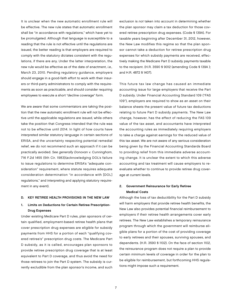It is unclear when the new automatic enrollment rule will be effective. The new rule states that automatic enrollment shall be "in accordance with regulations," which have yet to be promulgated. Although that language is susceptible to a reading that the rule is not effective until the regulations are issued, the better reading is that employers are required to comply with the statutory dictates consistent with the regulations, if there are any. Under the latter interpretation, the new rule would be effective as of the date of enactment, i.e., March 23, 2010. Pending regulatory guidance, employers should engage in a good-faith effort to work with their insurers or third-party administrators to comply with the requirements as soon as practicable, and should consider requiring employees to execute a short "decline coverage" form.

We are aware that some commentators are taking the position that the new automatic enrollment rule will not be effective until the applicable regulations are issued, while others take the position that Congress intended that the rule was not to be effective until 2014. In light of how courts have interpreted similar statutory language in certain sections of ERISA, and the uncertainty respecting potential remedial relief, we do not recommend such an approach if it can be practically avoided. See generally Donovan v. Cunningham, 716 F.2d 1455 (5th Cir. 1983)(acknowledging DOL's failure to issue regulations to determine ERISA's "adequate consideration" requirement, where statute requires adequate consideration determination "in accordance with [DOL] regulations," and interpreting and applying statutory requirement in any event).

#### D. Key Retiree Health Provisions in the New Law

#### 1. Limits on Deductions for Certain Retiree Prescription-Drug Expenses

Under existing Medicare Part D rules, plan sponsors of certain qualified, employment-based retiree health plans that cover prescription drug expenses are eligible for subsidy payments from HHS for a portion of each "qualifying covered retiree's" prescription drug costs. The Medicare Part D subsidy, as it is called, encourages plan sponsors to provide retiree prescription drug coverage that is at least equivalent to Part D coverage, and thus avoid the need for those retirees to join the Part D system. The subsidy is currently excludible from the plan sponsor's income, and such exclusion is not taken into account in determining whether the plan sponsor may claim a tax deduction for those covered retiree prescription drug expenses. (Code § 139A). For taxable years beginning after December 31, 2012, however, the New Law modifies this regime so that the plan sponsor cannot take a deduction for retiree prescription drug expenses for which subsidy payments are received, effectively making the Medicare Part D subsidy payments taxable to the recipient. (H.R. 3590 § 9012 (amending Code § 139A ); and H.R. 4872 § 1407).

This future tax law change has caused an immediate accounting issue for large employers that receive the Part D subsidy. Under Financial Accounting Standard 109 ("FAS 109"), employers are required to show as an asset on their balance sheets the present value of future tax deductions relating to future Part D subsidy payments. The New Law change, however, has the effect of reducing the FAS 109 value of the tax asset, and accountants have interpreted the accounting rules as immediately requiring employers to take a charge against earnings for the reduced value of this tax asset. We are not aware of any serious consideration being given by the Financial Accounting Standards Board to providing relief from this immediate adverse accounting change. It is unclear the extent to which this adverse accounting and tax treatment will cause employers to reevaluate whether to continue to provide retiree drug coverage at current levels.

#### 2. Government Reinsurance for Early Retiree Medical Costs

Although the loss of tax deductibility for the Part D subsidy will harm employers that provide retiree health benefits, the New Law also provides potential financial reimbursement to employers if their retiree health arrangements cover early retirees. The New Law establishes a temporary reinsurance program through which the government will reimburse eligible plans for a portion of the cost of providing coverage to early retirees and their spouses, surviving spouses, and dependents. (H.R. 3590 § 1102). On the face of section 1102, the reinsurance program does not require a plan to provide certain minimum levels of coverage in order for the plan to be eligible for reimbursement, but forthcoming HHS regulations might impose such a requirement.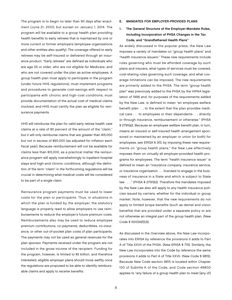The program is to begin no later than 90 days after enactment (June 21, 2010), but sunset on January 1, 2014. The program will be available to a group health plan providing health benefits to early retirees that is maintained by one or more current or former employers (employee organizations and other entities also qualify). The coverage offered to early retirees may be self-insured or delivered through an insurance product. "Early retirees" are defined as individuals who are age 55 or older, who are not eligible for Medicare, and who are not covered under the plan as active employees. A group health plan must apply to participate in the program (under future HHS regulations), must implement programs and procedures to generate cost-savings with respect to participants with chronic and high-cost conditions, must provide documentation of the actual cost of medical claims involved, and HHS must certify the plan as eligible for reinsurance payments.

HHS will reimburse the plan for valid early retiree health care claims at a rate of 80 percent of the amount of the "claim," but it will only reimburse claims that are greater than \$15,000 but not in excess of \$90,000 (as adjusted for inflation each fiscal year). Because reimbursement will not be available for claims less than \$15,000, as a practical matter the reinsurance program will apply overwhelmingly to inpatient hospital stays and high-end chronic conditions, although the definition of the term "claim" in the forthcoming regulations will be crucial in determining what medical costs will be considered to be part of a single claim.

Reinsurance program payments must be used to lower costs for the plan or participants. Thus, in situations in which the plan is funded by the employer, the statutory language is properly read to allow employers to use reimbursements to reduce the employer's future premium costs. Reimbursements also may be used to reduce employee premium contributions, co-payments, deductibles, co-insurance, or other out-of-pocket plan costs of plan participants. The payments may not be used as general revenues for the plan sponsor. Payments received under the program are not included in the gross income of the recipient. Funding for the program, however, is limited to \$5 billion, and therefore interested, eligible employer plans should move swiftly once the regulations are proposed to be able to identify reimbursable claims and apply to receive benefits.

- E. Mandates For Employer-Provided Plans
- 1. The General Structure of the Employer-Mandate Rules, Including Incorporation of PHSA Changes in the Tax Code, and "Grandfathered Health Plans"

As widely discussed in the popular press, the New Law imposes a variety of mandates on "group health plans" and "health insurance issuers." These new requirements include rules governing who must be afforded coverage by such plans and insurers, what types of services must be covered, cost-sharing rules governing such coverage, and what coverage limitations can be imposed. The new requirements are primarily added to the PHSA. The term "group health plan" was previously added to the PHSA by the HIPAA legislation of 1996 and, for purposes of the requirements added by the New Law, is defined to mean "an employee welfare benefit plan . . . to the extent that the plan provides medical care . . . to employees or their dependents . . . directly or through insurance, reimbursement or otherwise." (PHSA § 2791(a)). Because an employee welfare benefit plan, in turn, means an insured or self-insured health arrangement sponsored or maintained by an employer or union (or both) for employees, see ERISA § 3(1), by imposing these new requirements on "group health plans," the New Law effectively imposes them on virtually all employer-provided health programs for employees. The term "health insurance issuer" is defined to mean an "insurance company, insurance service, or insurance organization . . . licensed to engage in the business of insurance in a State and which is subject to State law . . . ." (PHSA § 2791(b)). Therefore the mandates imposed by the New Law also will apply to any health insurance policies issued by carriers, whether for the individual or group market. Note, however, that the new requirements do not apply to limited scope benefits (such as dental and vision benefits) that are provided under a separate policy or are not otherwise an integral part of the group health plan. (New Code § 5000A(f)(3)).

As discussed in the Overview above, the New Law incorporates into ERISA by reference the provisions it adds to Part A of Title XXVII of the PHSA. (New ERISA § 715). Similarly, the New Law incorporates into the Code by reference the same provisions it adds to Part A of Title XXVII. (New Code § 9815). Because New Code section 9815 is located within Chapter 100 of Subtitle K of the Code, and Code section 4980D applies to "any failure of a group health plan to meet [any of]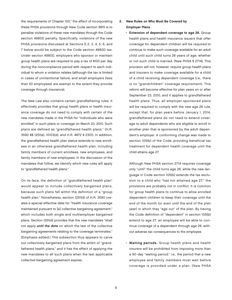the requirements of Chapter 100," the effect of incorporating these PHSA provisions through New Code section 9815 is to penalize violations of these new mandates through the Code section 4980D penalty. Specifically, violations of the new PHSA provisions discussed at Sections E.2, 3, 4, 5, 6, and 7 below would be subject to the Code section 4980D tax. Under section 4980D, employers who sponsor or maintain group health plans are required to pay a tax of \$100 per day during the noncompliance period with respect to each individual to whom a violation relates (although the tax is limited in cases of unintentional failure, and small employers (less than 50 employees) are exempt to the extent they provide coverage through insurance).

The New Law also contains certain grandfathering rules. It effectively provides that group health plans or health insurance coverage do not need to comply with certain of the new mandates made in the PHSA for "individuals who were enrolled" in such plans or coverage on March 23, 2010. Such plans are defined as "grandfathered health plans." (H.R. 3590 §§ 1251(e), 10103(d), and H.R. 4872 § 2301). In addition, the grandfathered health plan status extends to new enrollees in an otherwise grandfathered health plan, including family members of current enrollees, new employees, and family members of new employees. In the discussion of the mandates that follow, we identify which new rules will apply to "grandfathered health plans."

On its face, the definition of "grandfathered health plan" would appear to include collectively bargained plans, because such plans fall within the definition of a "group health plan." Nonetheless, section 1251(d) of H.R. 3590 creates a special effective date for "health insurance coverage maintained pursuant to [a] collective bargaining agreement," which includes both single and multiemployer bargained plans. Section 1251(d) provides that the new mandates "shall not apply until the date on which the last of the collective bargaining agreements relating to the coverage terminates." (Emphasis added.) This subsection thus appears to carve out collectively bargained plans from the ambit of "grandfathered health plans," and it has the effect of applying the new mandates to all such plans when the last applicable collective bargaining agreement expires.

#### 2. New Rules on Who Must Be Covered by Employer Plans

• Extension of dependent coverage to age 26. Group health plans and health insurance issuers that offer coverage for dependent children will be required to continue to make such coverage available for an adult child until such child turns 26 years of age, whether or not such child is married. (New PHSA § 2714). This provision will not, however, require group health plans and insurers to make coverage available for a child of a child receiving dependent coverage (i.e., there is no "grandchildren" coverage requirement). This reform will become effective for plan years on or after September 23, 2010, and it applies to grandfathered health plans. Thus, all employer-sponsored plans will be required to comply with the new age 26 rule, except that, for plan years before January 1, 2014, grandfathered plans do not need to extend coverage to adult dependents who are eligible to enroll in another plan that is sponsored by the adult dependent's employer. A conforming change was made to section 105(b) of the Code, providing beneficial tax treatment for dependent health coverage until the child attains age 27.

Although New PHSA section 2714 requires coverage only "until" the child turns age 26, while the new language in Code section 105(b) extends the tax exclusion to a child who "has not attained age 27," the provisions are probably not in conflict. It is common for group health plans to continue to allow enrolled dependent children to keep their coverage until the end of the month (or even until the end of the plan year) in which they "age out" of the plan. By having the Code definition of "dependent" in section 105(b) extend to age 27, an employee will be able to continue coverage of a dependent through age 26, without adverse tax consequences to the employee.

• Waiting periods. Group health plans and health insurers will be prohibited from imposing more than a 90-day "waiting period," i.e., the period that a new employee and family members must wait before coverage is provided under a plan. (New PHSA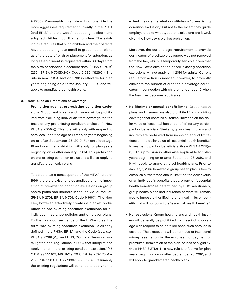§ 2708). Presumably, this rule will not override the more aggressive requirement currently in the PHSA (and ERISA and the Code) respecting newborn and adopted children, but that is not clear. The existing rule requires that such children and their parents have a special right to enroll in group health plans as of the date of birth or placement for adoption, as long as enrollment is requested within 30 days from the birth or adoption placement date. (PHSA § 2701(f) (2(C), ERISA § 701(f)(2(C), Code § 9801(f)(2)(C)). The rule in new PHSA section 2708 is effective for plan years beginning on or after January 1, 2014, and will apply to grandfathered health plans.

#### 3. New Rules on Limitations of Coverage

• Prohibition against pre-existing condition exclusions. Group health plans and insurers will be prohibited from excluding individuals from coverage "on the basis of any pre-existing condition exclusion." (New PHSA § 2704(a)). This rule will apply with respect to enrollees under the age of 19 for plan years beginning on or after September 23, 2010. For enrollees age 19 and over, the prohibition will apply for plan years beginning on or after January 1, 2014. This prohibition on pre-existing condition exclusions will also apply to grandfathered health plans.

To be sure, as a consequence of the HIPAA rules of 1996, there are existing rules applicable to the imposition of pre-existing condition exclusions on group health plans and insurers in the individual market. (PHSA § 2701, ERISA § 701, Code § 9801). The New Law, however, effectively creates a blanket prohibition on pre-existing condition exclusions for all individual insurance policies and employer plans. Further, as a consequence of the HIPAA rules, the term "pre-existing condition exclusion" is already defined in the PHSA, ERISA, and the Code (see, e.g., PHSA § 2701(b)(1)), and HHS, DOL, and Treasury promulgated final regulations in 2004 that interpret and apply the term "pre-existing condition exclusion." (45 C.F.R. §§ 144.103, 146.111-119, 29 C.F.R. §§ 2590.701-1 – 2590.701-7, 26 C.F.R. §§ 9801-1 – 9801- 6). Presumably the existing regulations will continue to apply to the

extent they define what constitutes a "pre-existing condition exclusion," but not to the extent they guide employers as to what types of exclusions are lawful, given the New Law's blanket prohibition.

Moreover, the current legal requirement to provide certificates of creditable coverage was not removed from the law, which is temporarily sensible given that the New Law's elimination of pre-existing condition exclusions will not apply until 2014 for adults. Current regulatory action is needed, however, to promptly eliminate the burden of creditable coverage certificates in connection with children under age 19 when the New Law becomes applicable.

- No lifetime or annual benefit limits. Group health plans, and insurers, are also prohibited from providing coverage that contains a lifetime limitation on the dollar value of "essential health benefits" for any participant or beneficiary. Similarly, group health plans and insurers are prohibited from imposing annual limitations on the dollar value of "essential health benefits" to any participant or beneficiary. (New PHSA § 2711(a) (1)). This provision is otherwise applicable for plan years beginning on or after September 23, 2010, and it will apply to grandfathered health plans. Prior to January 1, 2014, however, a group health plan is free to establish a "restricted annual limit" on the dollar value of an individual's benefits that are part of "essential health benefits" as determined by HHS. Additionally, group health plans and insurance carriers will remain free to impose either lifetime or annual limits on benefits that will not constitute "essential health benefits."
- No rescissions. Group health plans and health insurers will generally be prohibited from rescinding coverage with respect to an enrollee once such enrollee is covered. The exceptions will be for fraud or intentional misrepresentation by the enrollee, nonpayment of premiums, termination of the plan, or loss of eligibility. (New PHSA § 2712). This new rule is effective for plan years beginning on or after September 23, 2010, and will apply to grandfathered health plans.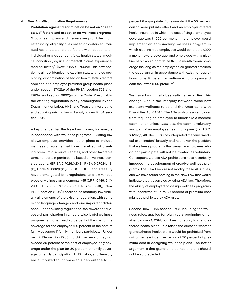#### 4. New Anti-Discrimination Requirements

• Prohibition against discrimination based on "health status" factors and exception for wellness programs. Group health plans and insurers are prohibited from establishing eligibility rules based on certain enumerated health-status-related factors with respect to an individual or a dependent (e.g., health status, medical condition (physical or mental), claims experience, medical history). (New PHSA § 2705(a)). This new section is almost identical to existing statutory rules prohibiting discrimination based on health status factors applicable to employer-provided group health plans under section 2702(a) of the PHSA, section 702(a) of ERISA, and section 9802(a) of the Code. Presumably, the existing regulations jointly promulgated by the Department of Labor, HHS, and Treasury interpreting and applying existing law will apply to new PHSA section 2705.

A key change that the New Law makes, however, is in connection with wellness programs. Existing law allows employer-provided health plans to include wellness programs that have the effect of granting premium discounts, rebates, and other favorable terms for certain participants based on wellness considerations. (ERISA § 702(b)(2)(B), PHSA § 2702(b)(2) (B), Code § 9802(b)(2)(B)). DOL, HHS, and Treasury have promulgated joint regulations to allow various types of wellness arrangements. (45 C.F.R. § 146.121(f), 29 C.F.R. § 2590.702(f), 26 C.F.R. § 9802-1(f)). New PHSA section 2705(j) codifies as statutory law virtually all elements of the existing regulation, with some minor language changes and one important difference. Under existing regulations, the reward for successful participation in an otherwise lawful wellness program cannot exceed 20 percent of the cost of the coverage for the employee (20 percent of the cost of family coverage if family members participate). Under new PHSA section 2705(j)(3)(A), the reward may not exceed 30 percent of the cost of employee-only coverage under the plan (or 30 percent of family coverage for family participation). HHS, Labor, and Treasury are authorized to increase this percentage to 50

percent if appropriate. For example, if the 50 percent ceiling were put into effect and an employer offered health insurance in which the cost of single-employee coverage was \$1,000 per month, the employer could implement an anti-smoking wellness program in which nicotine-free employees would contribute \$200 a month toward coverage, and employees with a nicotine habit would contribute \$700 a month toward coverage (as long as the employer also granted smokers the opportunity, in accordance with existing regulations, to participate in an anti-smoking program and earn the lower \$200 premium).

We have two initial observations regarding this change. One is the interplay between these new statutory wellness rules and the Americans With Disabilities Act ("ADA"). The ADA prohibits an employer from requiring an employee to undertake a medical examination unless, inter alia, the exam is voluntary and part of an employee health program. (42 U.S.C. § 12112(d)(4)). The EEOC has interpreted the term "medical examination" broadly and has taken the position that wellness programs that penalize employees who do not participate will not be treated as voluntary. Consequently, these ADA prohibitions have historically impeded the development of creative wellness programs. The New Law did not modify these ADA rules, and we have found nothing in the New Law that would indicate that it overrules existing ADA law. Therefore, the ability of employers to design wellness programs with incentives of up to 30 percent of premium cost might be prohibited by ADA rules.

Second, new PHSA section 2705, including the wellness rules, applies for plan years beginning on or after January 1, 2014, but does not apply to grandfathered health plans. This raises the question whether grandfathered health plans would be prohibited from using the new incentive ceiling of 30 percent of premium cost in designing wellness plans. The better argument is that grandfathered health plans should not be so precluded.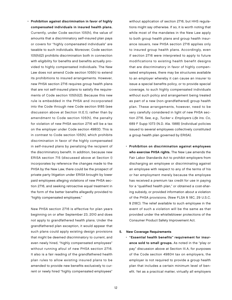• Prohibition against discrimination in favor of highly compensated individuals in insured health plans. Currently, under Code section 105(h), the value of amounts that a discriminatory self-insured plan pays or covers for "highly compensated individuals" are taxable to such individuals. Moreover, Code section 105(h)(2) prohibits discrimination both in connection with eligibility for benefits and benefits actually provided to highly compensated individuals. The New Law does not amend Code section 105(h) to extend its prohibitions to insured arrangements. However, new PHSA section 2716 requires group health plans that are not self-insured plans to satisfy the requirements of Code section 105(h)(2). Because this new rule is embedded in the PHSA and incorporated into the Code through new Code section 9185 (see discussion above at Section III.E.1), rather than by amendment to Code section 105(h), the penalty for violation of new PHSA section 2716 will be a tax on the employer under Code section 4980D. This is in contrast to Code section 105(h), which prohibits discrimination in favor of the highly compensated in self-insured plans by penalizing the recipient of the discriminatory benefit. In addition, because new ERISA section 715 (discussed above at Section I) incorporates by reference the changes made to the PHSA by the New Law, there could be the prospect of private party litigation under ERISA brought by lower paid employees alleging violations of new PHSA section 2716, and seeking retroactive equal treatment in the form of the better benefits allegedly provided to "highly compensated employees."

New PHSA section 2716 is effective for plan years beginning on or after September 23, 2010 and does not apply to grandfathered health plans. Under the grandfathered plan exception, it would appear that such plans could apply existing design provisions that might be deemed discriminatory to current, and even newly hired, "highly compensated employees" without running afoul of new PHSA section 2716. It also is a fair reading of the grandfathered health plan rules to allow existing insured plans to be amended to provide new benefits exclusively to current or newly hired "highly compensated employees"

without application of section 2716, but HHS regulations might say otherwise. If so, it is worth noting that while most of the mandates in the New Law apply to both group health plans and group health insurance issuers, new PHSA section 2716 applies only to insured group health plans. Accordingly, even if section 2716 were interpreted to apply to future modifications to existing health benefit designs that are discriminatory in favor of highly compensated employees, there may be structures available to an employer whereby it can cause an insurer to issue a special benefits policy, or to provide special coverage, to such highly compensated individuals without such policy and arrangement being treated as part of a new (non-grandfathered) group health plan. These arrangements, however, need to be very carefully considered in light of new PHSA section 2716. See, e.g., Tucker v. Employers Life Ins. Co, 689 F Supp 1073 (N.D. Ala. 1988) (individual policies issued to several employees collectively constituted a group health plan governed by ERISA).

• Prohibition on discrimination against employees who exercise PHSA rights. The New Law amends the Fair Labor Standards Act to prohibit employers from discharging an employee or discriminating against an employee with respect to any of the terms of his or her employment merely because the employee has received a premium tax credit for use in paying for a "qualified health plan," or obtained a cost-sharing subsidy, or provided information about a violation of the PHSA provisions. (New FLSA § 18C, 29 U.S.C. § 218C). The relief available to such employee in the event of such a violation will be the same as that provided under the whistleblower protections of the Consumer Product Safety Improvement Act.

#### 5. New Coverage Requirements

• "Essential health benefits" requirement for insurance sold to small groups. As noted in the "play or pay" discussion above at Section III.A, for purposes of the Code section 4980H tax on employers, the employer is not required to provide a group health plan that includes a certain minimum level of benefit. Yet as a practical matter, virtually all employers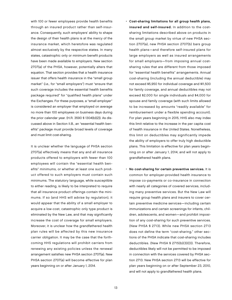with 100 or fewer employees provide health benefits through an insured product rather than self-insurance. Consequently, such employers' ability to shape the design of their health plans is at the mercy of the insurance market, which heretofore was regulated almost exclusively by the respective states. In many states, catastrophic only or minimum benefit products have been made available to employers. New section 2707(a) of the PHSA, however, potentially alters that equation. That section provides that a health insurance issuer that offers health insurance in the "small group market" (i.e., for "small employers") must "ensure that such coverage includes the essential health benefits package required" for "qualified health plans" under the Exchanges. For these purposes, a "small employer" is considered an employer that employed on average no more than 100 employees on business days during the prior calendar year. (H.R. 3590 § 1304(b)(2)). As discussed above in Section II.B., an "essential health benefits" package must provide broad levels of coverage and must limit cost-sharing.

 It is unclear whether the language of PHSA section 2707(a) effectively means that any and all insurance products offered to employers with fewer than 100 employees will contain the "essential health benefits" minimums, or whether at least one such product offered to such employers must contain such minimums. The statutory language, while susceptible to either reading, is likely to be interpreted to require that all insurance product offerings contain the minimums. If so (and HHS will advise by regulation), it would appear that the ability of a small employer to acquire a low-cost, catastrophic only type product is eliminated by the New Law, and that may significantly increase the cost of coverage for small employers. Moreover, it is unclear how the grandfathered health plan rules will be affected by this new insurance carrier obligation. It may be the case that the forthcoming HHS regulations will prohibit carriers from renewing any existing policies unless the renewal arrangement satisfies new PHSA section 2707(a). New PHSA section 2707(a) will become effective for plan years beginning on or after January 1, 2014.

- Cost-sharing limitations for all group health plans, insured and self-insured. In addition to the costsharing limitations described above on products in the small group market by virtue of new PHSA section 2707(a), new PHSA section 2707(b) bars group health plans—and therefore self-insured plans for large employers as well as insured arrangements for small employers—from imposing annual costsharing rules that are different from those imposed for "essential health benefits" arrangements. Annual cost-sharing (including the annual deductible) may not exceed \$5,950 for individual coverage and \$11,500 for family coverage, and annual deductibles may not exceed \$2,000 for single individuals and \$4,000 for spouse and family coverage (with such limits allowed to be increased by amounts "readily available" for reimbursement under a flexible spending account). For plan years beginning in 2015, HHS also may index this limit relative to the increase in the per capita cost of health insurance in the United States. Nonetheless, this limit on deductibles may significantly impede the ability of employers to offer truly high deductible plans. This limitation is effective for plan years beginning on or after January 1, 2014, and will not apply to grandfathered health plans.
- No cost-sharing for certain preventive services. It is common for employer-provided health insurance to impose co-payments or co-insurance in connection with nearly all categories of covered services, including many preventive services. But the New Law will require group health plans and insurers to cover certain preventive medicine services—including certain immunizations and certain screenings for infants, children, adolescents, and women—and prohibit imposition of any cost-sharing for such preventive services. (New PHSA § 2713). While new PHSA section 2713 does not define the term "cost-sharing," other sections of the PHSA indicate that cost-sharing includes deductibles. (New PHSA § 2715(b)(3)(D)). Therefore, deductibles likely will not be permitted to be imposed in connection with the services covered by PHSA section 2713. New PHSA section 2713 will be effective for plan years beginning on or after September 23, 2010, and will not apply to grandfathered health plans.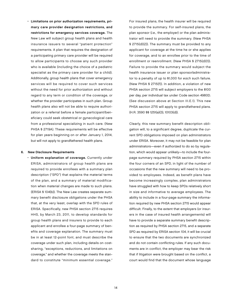• Limitations on prior authorization requirements, primary care provider designation restrictions, and restrictions for emergency services coverage. The New Law will subject group health plans and health insurance issuers to several "patient protection" requirements. A plan that requires the designation of a participating primary care provider will be required to allow participants to choose any such provider who is available (including the choice of a pediatric specialist as the primary care provider for a child). Additionally, group health plans that cover emergency services will be required to cover such services without the need for prior authorization and without regard to any term or condition of the coverage, or whether the provider participates in such plan. Group health plans also will not be able to require authorization or a referral before a female participant/beneficiary could seek obstetrical or gynecological care from a professional specializing in such care. (New PHSA § 2719A). These requirements will be effective for plan years beginning on or after January 1, 2014, but will not apply to grandfathered health plans.

#### 6. New Disclosure Requirements

• Uniform explanation of coverage. Currently under ERISA, administrators of group health plans are required to provide enrollees with a summary plan description ("SPD") that explains the material terms of the plan, and a summary of material modification when material changes are made to such plans. (ERISA § 104(b)). The New Law creates separate summary benefit disclosure obligations under the PHSA that, at the very least, overlap with the SPD rules of ERISA. Specifically, new PHSA section 2715 requires HHS, by March 23, 2011, to develop standards for group health plans and insurers to provide to each applicant and enrollee a four-page summary of benefits and coverage explanation. The summary must be in at least 12-point font, and must describe the coverage under such plan, including details on costsharing, "exceptions, reductions, and limitations on coverage," and whether the coverage meets the standard to constitute "minimum essential coverage."

For insured plans, the health insurer will be required to provide the summary. For self-insured plans, the plan sponsor (i.e., the employer) or the plan administrator will need to provide the summary. (New PHSA § 2715(d)(2)). The summary must be provided to any applicant for coverage at the time he or she applies for coverage, and to an enrollee prior to the time of enrollment or reenrollment. (New PHSA § 2715(d)(1)). Failure to provide the summary would subject the health insurance issuer or plan sponsor/administrator to a penalty of up to \$1,000 for each such failure. (New PHSA § 2715(f)). In addition, a violation of new PHSA section 2715 will subject employers to the \$100 per day, per individual tax under Code section 4980D. (See discussion above at Section III.E.1). This new PHSA section 2715 will apply to grandfathered plans. (H.R. 3590 §§ 1251(a)(3), 10103(d)).

Clearly, this new summary benefit description obligation will, to a significant degree, duplicate the current SPD obligations imposed on plan administrators under ERISA. Moreover, it may not be feasible for plan administrators—even if authorized to do so by regulation, which would appear unlikely—to include the fourpage summary required by PHSA section 2715 within the four corners of an SPD, in light of the number of occasions that the new summary will need to be provided to employees. Indeed, as benefit plans have become increasingly complex, plan administrators have struggled with how to keep SPDs relatively short in size and informative to average employees. The ability to include in a four-page summary the information required by new PHSA section 2715 would appear difficult. Finally, to the extent that employers (or insurers in the case of insured health arrangements) will have to provide a separate summary benefit description as required by PHSA section 2715, and a separate SPD as required by ERISA section 104, it will be crucial to ensure that the two documents are synchronized and do not contain conflicting rules. If any such documents are in conflict, the employer may bear the risk that if litigation were brought based on the conflict, a court would find that the document whose language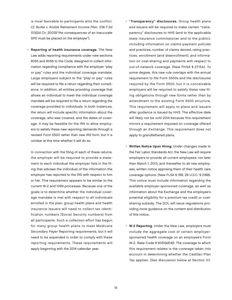is most favorable to participants wins the conflict. Cf. Burke v. Kodak Retirement Income Plan, 336 F.3d 103(2d Cir. 2003)("the consequences of an inaccurate SPD must be placed on the employer").

• Reporting of health insurance coverage. The New Law adds reporting requirements under new sections 6055 and 6056 to the Code, designed to collect information regarding compliance with the employer "play or pay" rules and the individual coverage mandate. Large employers subject to the "play or pay" rules will be required to file a return regarding their compliance. In addition, all entities providing coverage that allows an individual to meet the individual coverage mandate will be required to file a return regarding the coverage provided to individuals. In both instances, the return will include specific information about the coverage, who was covered, and the dates of coverage. It may be feasible for the IRS to allow employers to satisfy these new reporting demands through a revised Form 5500 rather than new IRS form, but it is unclear at this time whether it will do so.

 In connection with the filing of each of these returns, the employer will be required to provide a statement to each individual the employer lists in the filing that advises the individual of the information the employer has reported to the IRS with respect to him or her. Thie requirement appears to be similar to the current W-2 and 1099 processes. Because one of the goals is to determine whether the individual coverage mandate is met with respect to all individuals enrolled in the plan, group health plans and health insurance issuers will need to collect tax identification numbers (Social Security numbers) from all participants. Such a collection effort has begun for many group health plans to meet Medicare Secondary Payer Reporting requirements, but it will need to be expanded in order to comply with these reporting requirements. These requirements will apply beginning with the 2014 calendar year.

- "Transparency" disclosures. Group health plans and issuers will be required to make certain "transparency" disclosures to HHS (and to the applicable state insurance commissioner and to the public), including information on claims-payment policies and practices, number of claims denied, rating practices, enrollment (and disenrollment), and information on cost-sharing and payments with respect to out-of-network coverage. (New PHSA § 2715A). To some degree, this new rule overlaps with the annual requirement to file Form 5500s and the disclosures required by the Form 5500, but it is conceivable employers will be required to satisfy these new filing obligations through new forms rather than by amendment to the existing Form 5500 structure. This requirement will apply to plans and issuers after guidance is issued by HHS. The effective date will likely not be until 2014 because this requirement mirrors a requirement imposed on coverage offered through an Exchange. This requirement does not apply to grandfathered plans.
- Written Notice Upon Hiring. Under changes made to the Fair Labor Standards Act, the New Law will require employers to provide all current employees, not later than March 1, 2013, and thereafter to all new employees, written notice apprising them of their health care coverage options. (New FLSA § 18B, 29 U.S.C. § 218B). This notice must include information regarding the available employer-sponsored coverage, as well as information about the Exchange and the employee's potential eligibility for a premium tax credit or costsharing subsidy. The DOL will issue regulations providing more guidance on the content and distribution of this notice.
- W-2 Reporting. Under the New Law, employers must include the aggregate cost of certain employersponsored health coverage on an employee's Form W-2. (New Code § 6051(a)(14)). The coverage to which this requirement relates is the coverage taken into account in determining whether the Cadillac-Plan Tax applies. (See discussion below at Section IV).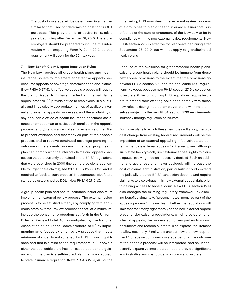The cost of coverage will be determined in a manner similar to that used for determining cost for COBRA purposes. This provision is effective for taxable years beginning after December 31, 2010. Therefore, employers should be prepared to include this information when preparing Form W-2s in 2012, as this requirement will apply for the 2011 tax year.

#### 7. New Benefit Claim Dispute Resolution Rules

The New Law requires all group health plans and health insurance issuers to implement an "effective appeals process" for appeals of coverage determinations and claims. (New PHSA § 2719). An effective appeals process will require the plan or issuer to (1) have in effect an internal claims appeal process, (2) provide notice to employees, in a culturally and linguistically appropriate manner, of available internal and external appeals processes, and the availability of any applicable office of health insurance consumer assistance or ombudsman to assist such enrollee in the appeals process, and (3) allow an enrollee to review his or her file, to present evidence and testimony as part of the appeals process, and to receive continued coverage pending the outcome of the appeals process. Initially, a group health plan can comply with the internal claims and appeals processes that are currently contained in the ERISA regulations that were published in 2000 (including provisions applicable to urgent care claims), see 29 C.F.R. § 2560.503-1, and is required to "update such process" in accordance with future standards established by DOL. (New PHSA § 2719(a)).

A group health plan and health insurance issuer also must implement an external review process. The external review process is to be satisfied either (1) by complying with applicable state external review processes that, at a minimum, include the consumer protections set forth in the Uniform External Review Model Act promulgated by the National Association of Insurance Commissioners, or (2) by implementing an effective external review process that meets minimum standards established by HHS through guidance and that is similar to the requirements in (1) above if either the applicable state has not issued appropriate guidance, or if the plan is a self-insured plan that is not subject to state insurance regulation. (New PHSA § 2719(b)). For the

time being, HHS may deem the external review process of a group health plan or health insurance issuer that is in effect as of the date of enactment of the New Law to be in compliance with the new external review requirements. New PHSA section 2719 is effective for plan years beginning after September 23, 2010, but will not apply to grandfathered health plans.

Because of the exclusion for grandfathered health plans, existing group health plans should be immune from these new appeal provisions to the extent that the provisions go beyond ERISA section 503 and the applicable DOL regulations. However, because new PHSA section 2719 also applies to insurers, if the forthcoming HHS regulations require insurers to amend their existing policies to comply with these new rules, existing insured employer plans will find themselves subject to the new PHSA section 2719 requirements indirectly through regulation of insurers.

For those plans to which these new rules will apply, the biggest change from existing federal requirements will be the imposition of an external appeal right (certain states currently mandate external appeals for insured plans, although such state laws typically limit external appeal rights to claim disputes involving medical necessity denials). Such an additional dispute resolution layer obviously will increase the cost of claims administration, particularly if courts extend the judicially-created ERISA exhaustion doctrine and require claimants to also exhaust this new external appeal right prior to gaining access to federal court. New PHSA section 2719 also changes the existing regulatory framework by allowing benefit claimants to "present . . . testimony as part of the appeals process." It is unclear whether the regulations will limit that testimony right merely to the new external appeal stage. Under existing regulations, which provide only for internal appeals, the process authorizes parties to submit documents and records but there is no express requirement to allow testimony. Finally, it is unclear how the new requirement "to receive continued coverage pending the outcome of the appeals process" will be interpreted, and an unnecessarily expansive interpretation could provide significant administrative and cost burdens on plans and insurers.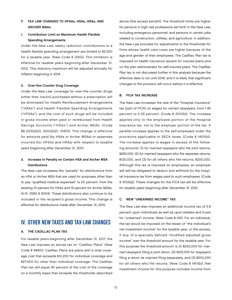#### F. Tax Law Changes to HFSAs, HSAs, HRAs, and Archer MSAs

#### 1. Contribution Limit on Maximum Health Flexible Spending Arrangements

Under the New Law, salary reduction contributions to a health flexible spending arrangement are limited to \$2,500 for a taxable year. (New Code § 125(i)). This limitation is effective for taxable years beginning after December 31, 2012. This statutory maximum will be adjusted annually for inflation beginning in 2014.

#### 2. Over-the-Counter Drug Coverage

Under the New Law, coverage for over-the-counter drugs (other than insulin) purchased without a prescription will be eliminated for Health Reimbursement Arrangements ("HRAs") and Health Flexible Spending Arrangements ("HFSAs"), and the cost of such drugs will be included in gross income when paid or reimbursed from Health Savings Accounts ("HSAs") and Archer MSAs. (Code §§ 223(d)(2), 220(d)(2), 106(f)). This change is effective for amounts paid (by HSAs or Archer MSAs) or expenses incurred (for HFSAs and HRAs) with respect to taxable years beginning after December 31, 2010.

#### 3. Increase in Penalty on Certain HSA and Archer MSA **Distributions**

The New Law increases the "penalty" for distributions from an HSA or Archer MSA that are used for purposes other than to pay "qualified medical expenses" to 20 percent, from the existing 10 percent for HSAs and 15 percent for Archer MSAs. (H.R. 3590 § 9004). These distributions also continue to be included in the recipient's gross income. This change is effective for distributions made after December 31, 2010.

## IV. OTHER NEW TAXES AND TAX-LAW CHANGES

#### A. The Cadillac-Plan Tax

For taxable years beginning after December 31, 2017, the New Law imposes an excise tax on "Cadillac Plans" (New Code § 4980I). Cadillac Plans are plans with a total coverage cost that exceeds \$10,200 for individual coverage and \$27,500 for other than individual coverage. The Cadillac Plan tax will equal 40 percent of the cost of the coverage on a monthly basis that exceeds the thresholds described above (the excess benefit). The threshold limits are higher for persons in high-risk professions set forth in the New Law, including emergency personnel, and persons in certain jobs related to construction, utilities, and agriculture. In addition, the New Law provides for adjustments to the thresholds for firms whose health care costs are higher because of the age and gender of their employees. The Cadillac Plan tax is imposed on health insurance issuers for insured plans and on the plan administrator for self-insured plans. The Cadillac Plan tax is not discussed further in this analysis because the effective date is not until 2018, and it is likely that significant changes to the provision will occur before it is effective.

#### B. FICA Tax Increase

The New Law increases the rate of the "Hospital Insurance" tax (part of FICA) on wages for certain taxpayers, from 1.45 percent to 2.35 percent. (Code § 3101(b)). The increase applies only to the employee portion of the Hospital Insurance tax, not to the employer portion of the tax. A parallel increase applies to the self-employed under the provisions applicable to SECA taxes. (Code § 1401(b)). The increase applies to wages in excess of the following amounts: (1) for married taxpayers who file joint returns, \$250,000, (2) for married taxpayers who file separate returns, \$125,000, and (3) for all others who file returns, \$200,000. Although this tax is imposed on employees, an employer will still be obligated to deduct and withhold for the hospital insurance tax from wages paid to such employees. (Code § 3102(a)). These changes for the FICA tax will be effective for taxable years beginning after December 31, 2012.

#### C. New "Unearned Income" Tax

The New Law also imposes an additional income tax of 3.8 percent upon individuals as well as upon estates and trusts for "unearned" income. (New Code § 1411). For an individual, the tax would be imposed on the lesser of "the individual's net investment income" for the taxable year, or the excess, if any, of a specially defined "modified adjusted gross income" over the threshold amount for the taxable year. For this purpose the threshold amount is (1) \$250,000 for married taxpayers filing a joint return, (2) \$125,000 for taxpayers filing a return as married filing separately, and (3) \$200,000 for all others who file returns. (New Code § 1411(b)). Net investment income for this purpose includes income from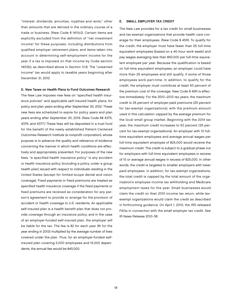"interest, dividends, annuities, royalties and rents," other than amounts that are derived in the ordinary course of a trade or business. (New Code § 1411(c)). Certain items are explicitly excluded from the definition of "net investment income" for these purposes, including distributions from qualified employer retirement plans, and items taken into account in determining self-employment income for the year if a tax is imposed on that income by Code section 1401(b), as described above in Section IV.B. The "unearned income" tax would apply to taxable years beginning after December 31, 2012.

#### D. New Taxes on Health Plans to Fund Outcomes Research

The New Law imposes new fees on "specified health insurance policies" and applicable self-insured health plans, for policy and plan years ending after September 30, 2012. These new fees are scheduled to expire for policy years and plan years ending after September 30, 2019. (New Code §§ 4375, 4376, and 4377.) These fees will be deposited in a trust fund for the benefit of the newly established Patient-Centered Outcomes Research Institute (a nonprofit corporation), whose purpose is to advance the quality and relevance of evidence concerning the manner in which health conditions are effectively and appropriately prevented. For purposes of the new fees, "a specified health insurance policy" is any accident or health insurance policy (including a policy under a group health plan) issued with respect to individuals residing in the United States (except for limited-scope dental and vision coverage). Fixed payments or fixed premiums are treated as specified health insurance coverage if the fixed payments or fixed premiums are received as consideration for any person's agreement to provide or arrange for the provision of accident or health coverage to U.S. residents. An applicable self-insured plan is a health benefit plan that does not provide coverage through an insurance policy, and in the case of an employer-funded self-insured plan, the employer will be liable for the tax. The fee is \$2 for each year (\$1 for the year ending in 2013) multiplied by the average number of lives covered under the plan. Thus, for an employer-funded selfinsured plan covering 5,000 employees and 15,000 dependents, the annual fee would be \$40,000.

#### E. Small Employer Tax Credit

The New Law provides for a tax credit for small businesses and tax-exempt organizations that provide health care coverage for their employees. (New Code § 45R). To qualify for the credit, the employer must have fewer than 25 full-time equivalent employees (based on a 40-hour work week) and pay wages averaging less than \$50,000 per full-time equivalent employee per year. Because the qualification is based on full-time equivalent employees, an employer could have more than 25 employees and still qualify, if some of those employees work part-time. In addition, to qualify for the credit, the employer must contribute at least 50 percent of the premium cost of the coverage. New Code § 45R is effective immediately. For the 2010–2013 tax years, the maximum credit is 35 percent of employer-paid premiums (25 percent for tax-exempt organizations), with the premium amount used in this calculation capped by the average premium for the local small group market. Beginning with the 2014 tax year, the maximum credit increases to 50 percent (35 percent for tax-exempt organizations). An employer with 10 fulltime equivalent employees and average annual wages per full-time equivalent employee of \$25,000 would receive the maximum credit. The credit is subject to a gradual phase out for employers with full-time equivalent employees in excess of 10 or average annual wages in excess of \$25,000. In other words, the credit is targeted to smaller employers with lower paid employees. In addition, for tax-exempt organizations, the total credit is capped by the total amount of the organization's employee income tax withholding and Medicare employment taxes for the year. Small businesses would claim the credit on their 2010 income tax return, while taxexempt organizations would claim the credit as described in forthcoming guidance. On April 1, 2010, the IRS released FAQs in connection with the small employer tax credit. See IR News Release 2010-38.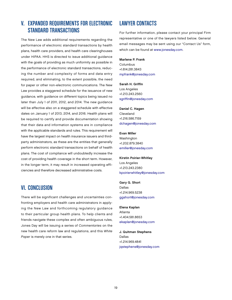## V. EXPANDED REQUIREMENTS FOR ELECTRONIC STANDARD TRANSACTIONS

The New Law adds additional requirements regarding the performance of electronic standard transactions by health plans, health care providers, and health care clearinghouses under HIPAA. HHS is directed to issue additional guidance with the goals of providing as much uniformity as possible in the performance of electronic standard transactions, reducing the number and complexity of forms and data entry required, and eliminating, to the extent possible, the need for paper or other non-electronic communications. The New Law provides a staggered schedule for the issuance of new guidance, with guidance on different topics being issued no later than July 1 of 2011, 2012, and 2014. The new guidance will be effective also on a staggered schedule with effective dates on January 1 of 2013, 2014, and 2016. Health plans will be required to certify and provide documentation showing that their data and information systems are in compliance with the applicable standards and rules. This requirement will have the largest impact on health insurance issuers and thirdparty administrators, as these are the entities that generally perform electronic standard transactions on behalf of health plans. The cost of compliance will undoubtedly increase the cost of providing health coverage in the short term. However, in the longer term, it may result in increased operating efficiencies and therefore decreased administrative costs.

## VI. Conclusion

There will be significant challenges and uncertainties confronting employers and health care administrators in applying the New Law and forthcoming regulatory guidance to their particular group health plans. To help clients and friends navigate these complex and often ambiguous rules, Jones Day will be issuing a series of Commentaries on the new health care reform law and regulations, and this White Paper is merely one in that series.

## **LAWYER CONTACTS**

For further information, please contact your principal Firm representative or one of the lawyers listed below. General email messages may be sent using our "Contact Us" form, which can be found at [www.jonesday.com.](http://www.jonesday.com) 

#### Marlene P. Frank

Columbus +1.614.281.3843 [mpfrank@jonesday.com](mailto:mpfrank@jonesday.com)

#### Sarah H. Griffin

Los Angeles +1.213.243.2560 [sgriffin@jonesday.com](mailto:sgriffin@jonesday.com)

Daniel C. Hagen Cleveland +1.216.586.7159 [dchagen@jonesday.com](mailto:dchagen@jonesday.com)

#### Evan Miller

Washington +1.202.879.3840 [emiller@jonesday.com](mailto:emiller@jonesday.com)

Kirstin Poirier-Whitley Los Angeles +1.213.243.2380 [kpoirierwhitley@jonesday.com](mailto:kpoirierwhitley@jonesday.com)

Gary G. Short Dallas +1.214.969.5238 [ggshort@jonesday.com](mailto:ggshort@jonesday.com)

Elena Kaplan Atlanta +1.404.581.8653 [ekaplan@jonesday.com](mailto:ekaplan@jonesday.com)

J. Quitman Stephens Dallas +1.214.969.4841 [jqstephens@jonesday.com](mailto:jqstephens@jonesday.com)